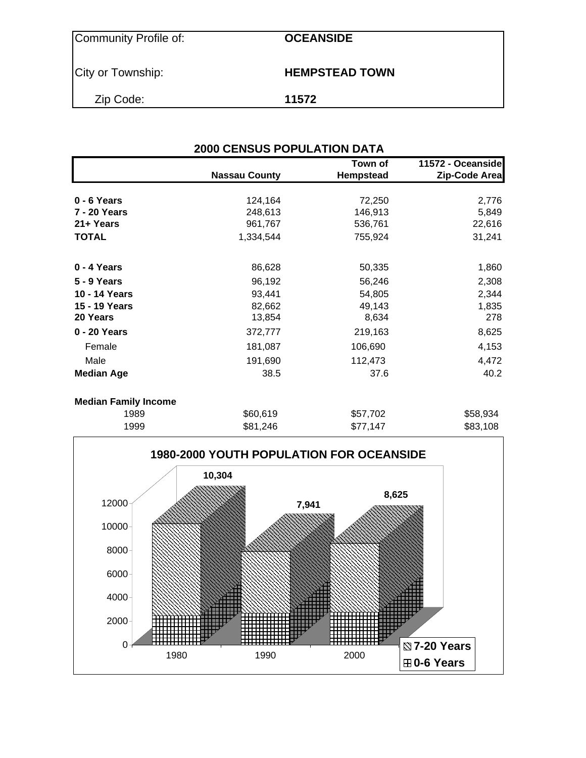| <b>Community Profile of:</b> |
|------------------------------|
|------------------------------|

**OCEANSIDE** 

City or Township: **HEMPSTEAD TOWN** 

Zip Code: **11572**

|                             | <b>2000 CENSUS POPULATION DATA</b> |                      |                                    |
|-----------------------------|------------------------------------|----------------------|------------------------------------|
|                             | <b>Nassau County</b>               | Town of<br>Hempstead | 11572 - Oceanside<br>Zip-Code Area |
| 0 - 6 Years                 | 124,164                            | 72,250               | 2,776                              |
| <b>7 - 20 Years</b>         | 248,613                            | 146,913              | 5,849                              |
| 21+ Years                   | 961,767                            | 536,761              | 22,616                             |
| <b>TOTAL</b>                | 1,334,544                          | 755,924              | 31,241                             |
| 0 - 4 Years                 | 86,628                             | 50,335               | 1,860                              |
| <b>5 - 9 Years</b>          | 96,192                             | 56,246               | 2,308                              |
| 10 - 14 Years               | 93,441                             | 54,805               | 2,344                              |
| 15 - 19 Years               | 82,662                             | 49,143               | 1,835                              |
| 20 Years                    | 13,854                             | 8,634                | 278                                |
| 0 - 20 Years                | 372,777                            | 219,163              | 8,625                              |
| Female                      | 181,087                            | 106,690              | 4,153                              |
| Male                        | 191,690                            | 112,473              | 4,472                              |
| <b>Median Age</b>           | 38.5                               | 37.6                 | 40.2                               |
| <b>Median Family Income</b> |                                    |                      |                                    |
| 1989                        | \$60,619                           | \$57,702             | \$58,934                           |
| 1999                        | \$81,246                           | \$77,147             | \$83,108                           |

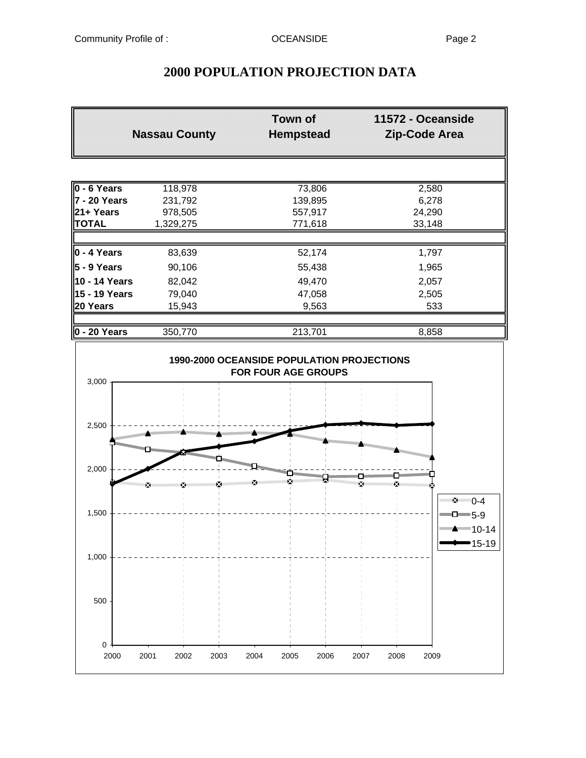## **2000 POPULATION PROJECTION DATA**

|           | <b>Town of</b><br><b>Hempstead</b>        | 11572 - Oceanside<br><b>Zip-Code Area</b> |
|-----------|-------------------------------------------|-------------------------------------------|
|           |                                           |                                           |
| 118,978   | 73,806                                    | 2,580                                     |
| 231,792   | 139,895                                   | 6,278                                     |
| 978,505   | 557,917                                   | 24,290                                    |
| 1,329,275 | 771,618                                   | 33,148                                    |
|           |                                           |                                           |
|           | 52,174                                    | 1,797                                     |
| 90,106    | 55,438                                    | 1,965                                     |
| 82,042    | 49,470                                    | 2,057                                     |
| 79,040    | 47,058                                    | 2,505                                     |
| 15,943    | 9,563                                     | 533                                       |
|           |                                           | 8,858                                     |
|           | <b>Nassau County</b><br>83,639<br>350,770 | 213,701                                   |

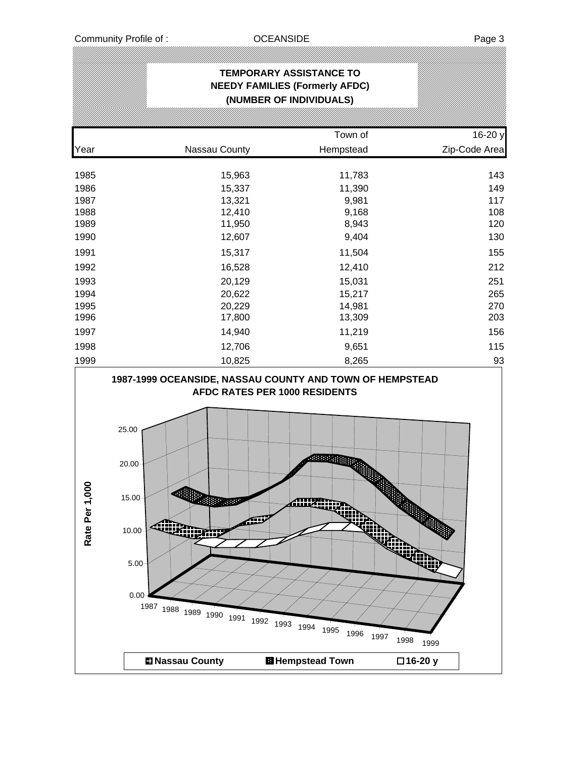|                                                                                      | ,,,,,,,,,,,,,,,,,,,,,,,,,,,,                                                                                                                                                          | <b>TEMPORARY ASSISTANCE TO</b><br><b>NEEDY FAMILIES (Formerly AFDC)</b><br>(NUMBER OF INDIVIDUALS)     |                                                                           |
|--------------------------------------------------------------------------------------|---------------------------------------------------------------------------------------------------------------------------------------------------------------------------------------|--------------------------------------------------------------------------------------------------------|---------------------------------------------------------------------------|
|                                                                                      |                                                                                                                                                                                       |                                                                                                        |                                                                           |
|                                                                                      |                                                                                                                                                                                       | Town of                                                                                                | 16-20 y                                                                   |
| Year                                                                                 | Nassau County                                                                                                                                                                         | Hempstead                                                                                              | Zip-Code Area                                                             |
| 1985<br>1986<br>1987<br>1988<br>1989<br>1990<br>1991<br>1992<br>1993<br>1994<br>1995 | 15,963<br>15,337<br>13,321<br>12,410<br>11,950<br>12,607<br>15,317<br>16,528<br>20,129<br>20,622<br>20,229                                                                            | 11,783<br>11,390<br>9,981<br>9,168<br>8,943<br>9,404<br>11,504<br>12,410<br>15,031<br>15,217<br>14,981 | 143<br>149<br>117<br>108<br>120<br>130<br>155<br>212<br>251<br>265<br>270 |
| 1996                                                                                 | 17,800                                                                                                                                                                                | 13,309                                                                                                 | 203                                                                       |
| 1997                                                                                 | 14,940                                                                                                                                                                                | 11,219                                                                                                 | 156                                                                       |
| 1998<br>1999                                                                         | 12,706                                                                                                                                                                                | 9,651                                                                                                  | 115<br>93                                                                 |
| 8<br>Rate Per 1,0                                                                    | 1987-1999 OCEANSIDE, NASSAU COUNTY AND TOWN OF HEMPSTEAD<br>25.00<br>20.00<br>15.00<br><b>MARIES</b><br><b>CONTROL</b><br>10.00<br>5.00<br>0.00<br>1987 1988 1989 1990 1991 1992 1993 | AFDC RATES PER 1000 RESIDENTS<br><b>CONSTRUCT</b><br>ANIZA<br>بالله<br>نتلته<br>1994<br>1995<br>1996   | ikin,<br>1997<br>1998<br>1999                                             |
|                                                                                      | <b>El Nassau County</b>                                                                                                                                                               | <b>El</b> Hempstead Town                                                                               | □16-20 y                                                                  |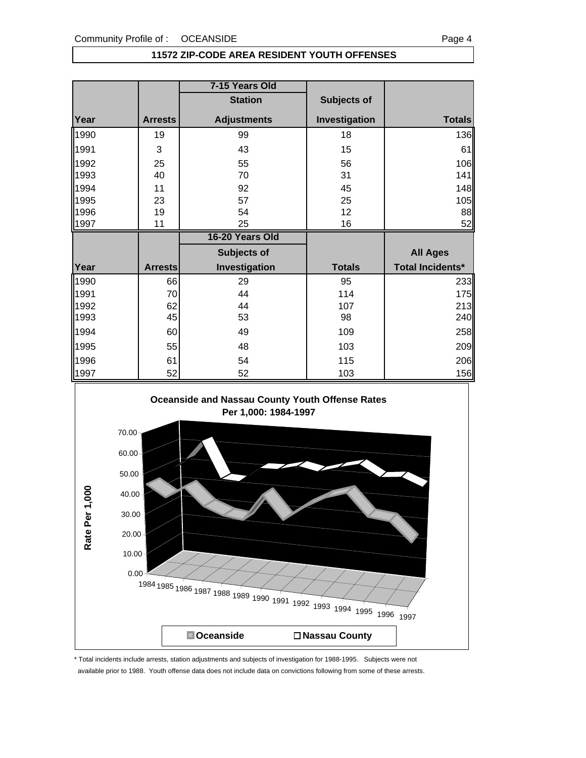### **11572 ZIP-CODE AREA RESIDENT YOUTH OFFENSES**

|      |                | 7-15 Years Old     |               |                   |
|------|----------------|--------------------|---------------|-------------------|
|      |                | <b>Station</b>     | Subjects of   |                   |
| Year | <b>Arrests</b> | <b>Adjustments</b> | Investigation | <b>Totals</b>     |
| 1990 | 19             | 99                 | 18            | 136               |
| 1991 | 3              | 43                 | 15            | 61                |
| 1992 | 25             | 55                 | 56            | 106               |
| 1993 | 40             | 70                 | 31            | 141               |
| 1994 | 11             | 92                 | 45            | 148               |
| 1995 | 23             | 57                 | 25            | 105               |
| 1996 | 19             | 54                 | 12            | 88                |
| 1997 | 11             | 25                 | 16            | 52                |
|      |                |                    |               |                   |
|      |                | 16-20 Years Old    |               |                   |
|      |                | Subjects of        |               | <b>All Ages</b>   |
| Year | <b>Arrests</b> | Investigation      | <b>Totals</b> | Total Incidents*  |
| 1990 | 66             | 29                 | 95            |                   |
| 1991 | 70             | 44                 | 114           |                   |
| 1992 | 62             | 44                 | 107           | 233<br>175<br>213 |
| 1993 | 45             | 53                 | 98            | 240               |
| 1994 | 60             | 49                 | 109           |                   |
| 1995 | 55             | 48                 | 103           |                   |
| 1996 | 61             | 54                 | 115           | 258<br>209<br>206 |



\* Total incidents include arrests, station adjustments and subjects of investigation for 1988-1995. Subjects were not available prior to 1988. Youth offense data does not include data on convictions following from some of these arrests.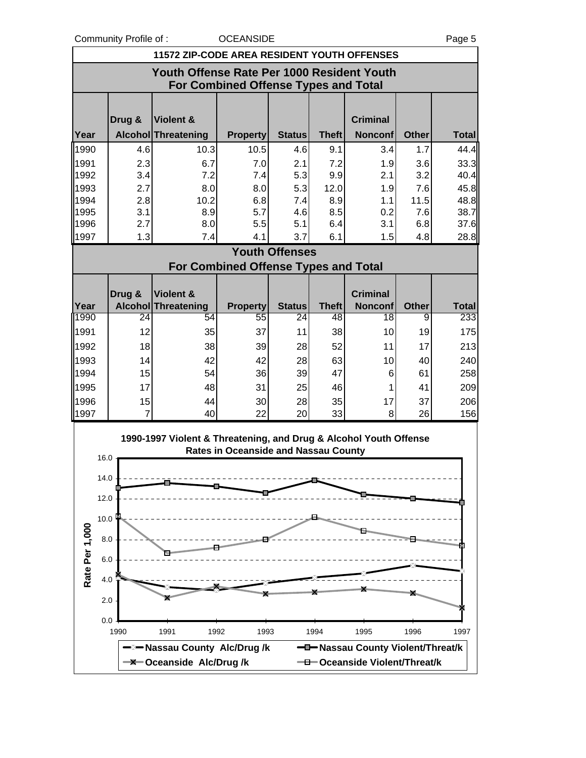Community Profile of : COCEANSIDE **COMMUNITY** Page 5

|                | <b>11572 ZIP-CODE AREA RESIDENT YOUTH OFFENSES</b>                                        |                                                                   |                                             |                       |              |                                   |              |              |  |
|----------------|-------------------------------------------------------------------------------------------|-------------------------------------------------------------------|---------------------------------------------|-----------------------|--------------|-----------------------------------|--------------|--------------|--|
|                | Youth Offense Rate Per 1000 Resident Youth<br><b>For Combined Offense Types and Total</b> |                                                                   |                                             |                       |              |                                   |              |              |  |
|                | Drug &                                                                                    | <b>Violent &amp;</b>                                              |                                             |                       |              | <b>Criminal</b>                   |              |              |  |
| Year           |                                                                                           | Alcohol Threatening                                               | <b>Property</b>                             | <b>Status</b>         | <b>Theft</b> | <b>Nonconf</b>                    | <b>Other</b> | <b>Total</b> |  |
| 1990           | 4.6                                                                                       | 10.3                                                              | 10.5                                        | 4.6                   | 9.1          | 3.4                               | 1.7          | 44.4         |  |
| 1991           | 2.3                                                                                       | 6.7                                                               | 7.0                                         | 2.1                   | 7.2          | 1.9                               | 3.6          | 33.3         |  |
| 1992           | 3.4                                                                                       | 7.2                                                               | 7.4                                         | 5.3                   | 9.9          | 2.1                               | 3.2          | 40.4         |  |
| 1993           | 2.7                                                                                       | 8.0                                                               | 8.0                                         | 5.3                   | 12.0         | 1.9                               | 7.6          | 45.8         |  |
| 1994<br>1995   | 2.8<br>3.1                                                                                | 10.2<br>8.9                                                       | 6.8<br>5.7                                  | 7.4<br>4.6            | 8.9<br>8.5   | 1.1<br>0.2                        | 11.5<br>7.6  | 48.8<br>38.7 |  |
| 1996           | 2.7                                                                                       | 8.0                                                               | 5.5                                         | 5.1                   | 6.4          | 3.1                               | 6.8          | 37.6         |  |
| 1997           | 1.3                                                                                       | 7.4                                                               | 4.1                                         | 3.7                   | 6.1          | 1.5                               | 4.8          | 28.8         |  |
|                |                                                                                           |                                                                   |                                             | <b>Youth Offenses</b> |              |                                   |              |              |  |
|                |                                                                                           |                                                                   | <b>For Combined Offense Types and Total</b> |                       |              |                                   |              |              |  |
|                |                                                                                           |                                                                   |                                             |                       |              |                                   |              |              |  |
| Year           | Drug &                                                                                    | <b>Violent &amp;</b>                                              |                                             |                       | <b>Theft</b> | <b>Criminal</b><br><b>Nonconf</b> | <b>Other</b> | <b>Total</b> |  |
| 1990           | 24                                                                                        | <b>Alcohol Threatening</b><br>54                                  | <b>Property</b><br>55                       | <b>Status</b><br>24   | 48           | 18                                | 9            | 233          |  |
| 1991           | 12                                                                                        | 35                                                                | 37                                          | 11                    | 38           | 10                                | 19           | 175          |  |
| 1992           | 18                                                                                        | 38                                                                | 39                                          | 28                    | 52           | 11                                | 17           | 213          |  |
| 1993           | 14                                                                                        | 42                                                                | 42                                          | 28                    | 63           | 10                                | 40           | 240          |  |
| 1994           | 15                                                                                        | 54                                                                | 36                                          | 39                    | 47           | 6                                 | 61           | 258          |  |
| 1995           | 17                                                                                        | 48                                                                | 31                                          | 25                    | 46           | 1                                 | 41           | 209          |  |
| 1996           | 15                                                                                        | 44                                                                | 30                                          | 28                    | 35           | 17                                | 37           | 206          |  |
| 1997           | $\overline{7}$                                                                            | 40                                                                | 22                                          | 20                    | 33           | 8                                 | 26           | 156          |  |
|                | 16.0                                                                                      | 1990-1997 Violent & Threatening, and Drug & Alcohol Youth Offense | <b>Rates in Oceanside and Nassau County</b> |                       |              |                                   |              |              |  |
|                | 14.0                                                                                      |                                                                   |                                             |                       |              |                                   |              |              |  |
|                | 12.0                                                                                      |                                                                   |                                             |                       |              |                                   |              |              |  |
|                | 10.0                                                                                      |                                                                   |                                             |                       |              |                                   |              |              |  |
|                |                                                                                           |                                                                   |                                             |                       |              |                                   |              |              |  |
|                | 8.0                                                                                       |                                                                   |                                             |                       |              |                                   |              |              |  |
| Rate Per 1,000 | 6.0                                                                                       |                                                                   |                                             |                       |              |                                   |              |              |  |
|                | 4.0                                                                                       |                                                                   |                                             |                       |              |                                   |              |              |  |
|                | 2.0<br>0.0                                                                                |                                                                   |                                             |                       |              |                                   |              |              |  |
|                | 1990                                                                                      | 1992<br>1991                                                      | 1993                                        |                       | 1994         | 1995                              | 1996         | 1997         |  |
|                |                                                                                           | -Nassau County Alc/Drug/k                                         |                                             |                       |              | -D-Nassau County Violent/Threat/k |              |              |  |
|                |                                                                                           | <b>-X-Oceanside Alc/Drug/k</b>                                    |                                             |                       |              | -D-Oceanside Violent/Threat/k     |              |              |  |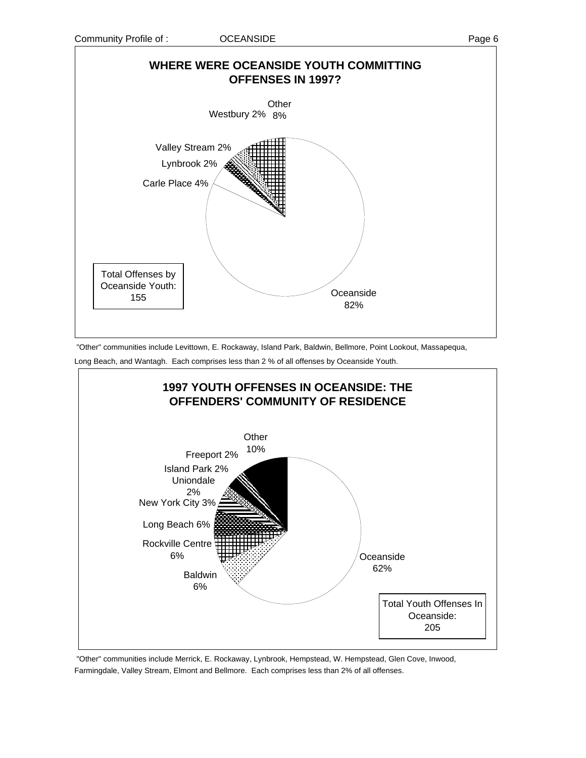

 "Other" communities include Levittown, E. Rockaway, Island Park, Baldwin, Bellmore, Point Lookout, Massapequa, Long Beach, and Wantagh. Each comprises less than 2 % of all offenses by Oceanside Youth.



 "Other" communities include Merrick, E. Rockaway, Lynbrook, Hempstead, W. Hempstead, Glen Cove, Inwood, Farmingdale, Valley Stream, Elmont and Bellmore. Each comprises less than 2% of all offenses.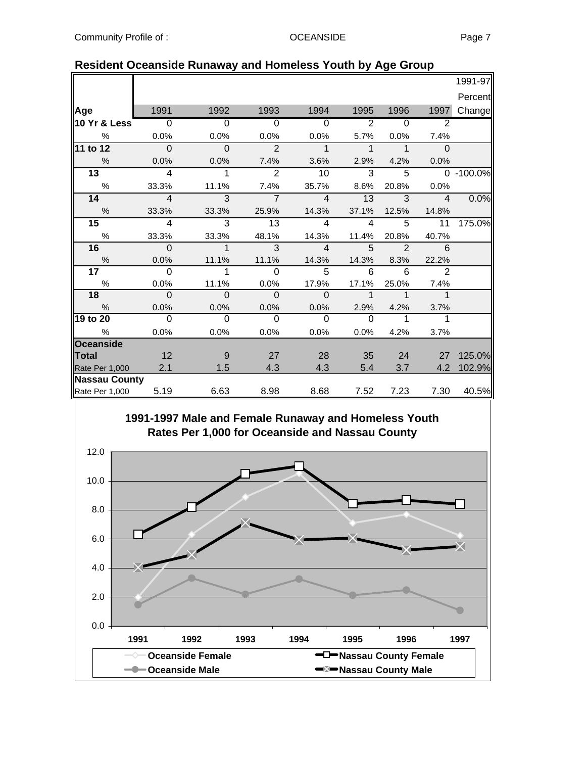|                      |                            |                            |                            |                          |                            |                            |                        | 1991-97   |
|----------------------|----------------------------|----------------------------|----------------------------|--------------------------|----------------------------|----------------------------|------------------------|-----------|
|                      |                            |                            |                            |                          |                            |                            |                        | Percent   |
| Age                  | 1991                       | 1992                       | 1993                       | 1994                     | 1995                       | 1996                       | 1997                   | Change    |
| 10 Yr & Less         | $\overline{0}$             | $\Omega$                   | $\Omega$                   | $\overline{0}$           | 2                          | $\Omega$                   | 2                      |           |
| %                    | 0.0%                       | 0.0%                       | 0.0%                       | 0.0%                     | 5.7%                       | $0.0\%$                    | 7.4%                   |           |
| 11 to 12             | $\overline{0}$             | $\overline{0}$             | $\overline{2}$             | $\overline{1}$           | $\overline{1}$             | $\overline{\phantom{1}}$   | $\overline{0}$         |           |
| $\%$                 | 0.0%                       | 0.0%                       | 7.4%                       | 3.6%                     | 2.9%                       | 4.2%                       | 0.0%                   |           |
| 13                   | $\overline{4}$             | $\overline{\phantom{0}}$ 1 | 2                          | 10                       | 3                          | $\overline{5}$             |                        | 0 -100.0% |
| $\%$                 | 33.3%                      | 11.1%                      | 7.4%                       | 35.7%                    | 8.6%                       | 20.8%                      | 0.0%                   |           |
| 14                   | $\overline{\phantom{a}}$ 4 | $\overline{\phantom{a}3}$  | $\overline{7}$             | $\overline{4}$           | 13                         | $\mathbf{3}$               | $\overline{4}$         | 0.0%      |
| %                    | 33.3%                      | 33.3%                      | 25.9%                      | 14.3%                    | 37.1%                      | 12.5%                      | 14.8%                  |           |
| 15                   | $\overline{4}$             | $\overline{\mathbf{3}}$    | $\overline{\phantom{0}13}$ | $\overline{4}$           | $\overline{4}$             | 5                          | $\overline{11}$        | 175.0%    |
| %                    | 33.3%                      | 33.3%                      | 48.1%                      | 14.3%                    | 11.4%                      | 20.8%                      | 40.7%                  |           |
| 16                   | $\Omega$                   | $\overline{1}$             | $\overline{3}$             | $\overline{\phantom{a}}$ | $-5$                       | $\overline{\phantom{a}}$ 2 | 6                      |           |
| %                    | 0.0%                       | 11.1%                      | 11.1%                      | 14.3%                    |                            | 14.3% 8.3%                 | 22.2%                  |           |
| 17 <sup>17</sup>     | $\bigcirc$                 | $\overline{1}$             | $\overline{0}$             | $5^{\circ}$              | 6                          | 6                          | $\overline{2}$         |           |
| $\%$                 | 0.0%                       | 11.1%                      | 0.0%                       | 17.9%                    | 17.1%                      | 25.0%                      | 7.4%                   |           |
| 18                   | __ ი                       | $\overline{0}$             | $\overline{\phantom{0}}$   | $\overline{0}$           | $\overline{\phantom{a}}$ 1 | $\overline{\phantom{a}}$   | $\mathbf 1$            |           |
| $\frac{0}{0}$        | 0.0%                       | 0.0%                       | 0.0%                       | $0.0\%$                  | 2.9%                       | 4.2%                       | 3.7%                   |           |
| 19 to 20             | $\overline{\phantom{0}}$   | $\Omega$                   | $\overline{0}$             | $\Omega$                 | $\Omega$                   | 1                          |                        |           |
| $\%$                 | 0.0%                       | 0.0%                       | 0.0%                       | 0.0%                     | $0.0\%$                    | 4.2%                       | 3.7%                   |           |
| Oceanside            |                            |                            |                            |                          |                            |                            |                        |           |
| $\blacksquare$ Total | 12                         | - 9                        | 27                         | 28                       |                            | $35 -$<br>24               | $\overline{\text{27}}$ | 125.0%    |
| Rate Per 1,000       | 2.1                        | 1.5                        | 4.3                        | 4.3                      | 5.4                        | 3.7                        | 4.2                    | 102.9%    |
| <b>Nassau County</b> |                            |                            |                            |                          |                            |                            |                        |           |
| Rate Per 1,000 5.19  |                            | 6.63                       | 8.98                       | 8.68                     | 7.52                       | 7.23                       | 7.30                   | 40.5%     |

## **Resident Oceanside Runaway and Homeless Youth by Age Group**

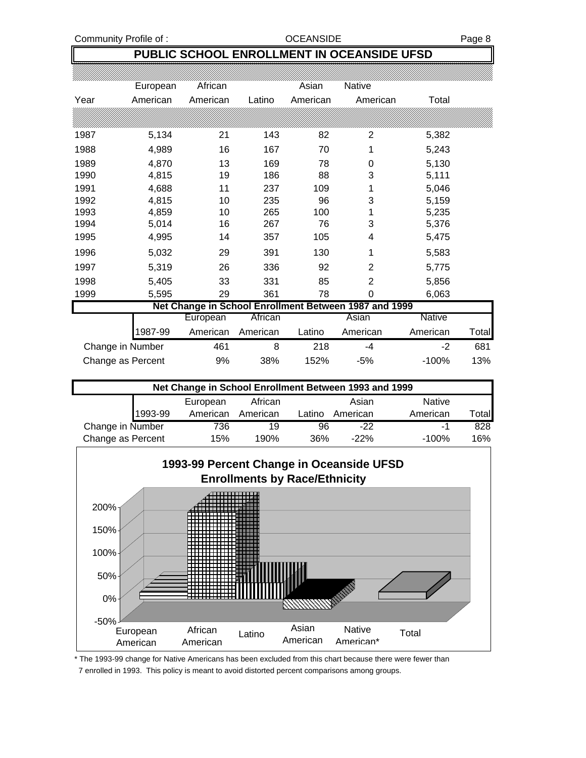Community Profile of : Community Profile of : Community Profile of : Community Profile of : Community Page 8

## **PUBLIC SCHOOL ENROLLMENT IN OCEANSIDE UFSD**

|      | European          | African  |          | Asian    | Native                                                |          |       |
|------|-------------------|----------|----------|----------|-------------------------------------------------------|----------|-------|
| Year | American          | American | Latino   | American | American                                              | Total    |       |
|      |                   |          |          |          |                                                       |          |       |
| 1987 | 5,134             | 21       | 143      | 82       | 2                                                     | 5,382    |       |
| 1988 | 4,989             | 16       | 167      | 70       | 1                                                     | 5,243    |       |
| 1989 | 4,870             | 13       | 169      | 78       | 0                                                     | 5,130    |       |
| 1990 | 4,815             | 19       | 186      | 88       | 3                                                     | 5,111    |       |
| 1991 | 4,688             | 11       | 237      | 109      | 1                                                     | 5,046    |       |
| 1992 | 4,815             | 10       | 235      | 96       | 3                                                     | 5,159    |       |
| 1993 | 4,859             | 10       | 265      | 100      | 1                                                     | 5,235    |       |
| 1994 | 5,014             | 16       | 267      | 76       | 3                                                     | 5,376    |       |
| 1995 | 4,995             | 14       | 357      | 105      | 4                                                     | 5,475    |       |
| 1996 | 5,032             | 29       | 391      | 130      | 1                                                     | 5,583    |       |
| 1997 | 5,319             | 26       | 336      | 92       | 2                                                     | 5,775    |       |
| 1998 | 5,405             | 33       | 331      | 85       | 2                                                     | 5,856    |       |
| 1999 | 5,595             | 29       | 361      | 78       | 0                                                     | 6,063    |       |
|      |                   |          |          |          | Net Change in School Enrollment Between 1987 and 1999 |          |       |
|      |                   | European | African  |          | Asian                                                 | Native   |       |
|      | 1987-99           | American | American | Latino   | American                                              | American | Total |
|      | Change in Number  | 461      | 8        | 218      | -4                                                    | $-2$     | 681   |
|      | Change as Percent | 9%       | 38%      | 152%     | $-5%$                                                 | $-100%$  | 13%   |

| Net Change in School Enrollment Between 1993 and 1999 |         |          |          |        |          |               |                   |  |  |  |
|-------------------------------------------------------|---------|----------|----------|--------|----------|---------------|-------------------|--|--|--|
|                                                       |         | European | African  |        | Asian    | <b>Native</b> |                   |  |  |  |
|                                                       | 1993-99 | American | American | Latino | American | American      | otal <sup>-</sup> |  |  |  |
| Change in Number                                      |         | 736      | 19       | 96     | $-22$    | -1            | 828               |  |  |  |
| Change as Percent                                     |         | 15%      | 190%     | 36%    | $-22%$   | $-100%$       | 16%               |  |  |  |



\* The 1993-99 change for Native Americans has been excluded from this chart because there were fewer than

7 enrolled in 1993. This policy is meant to avoid distorted percent comparisons among groups.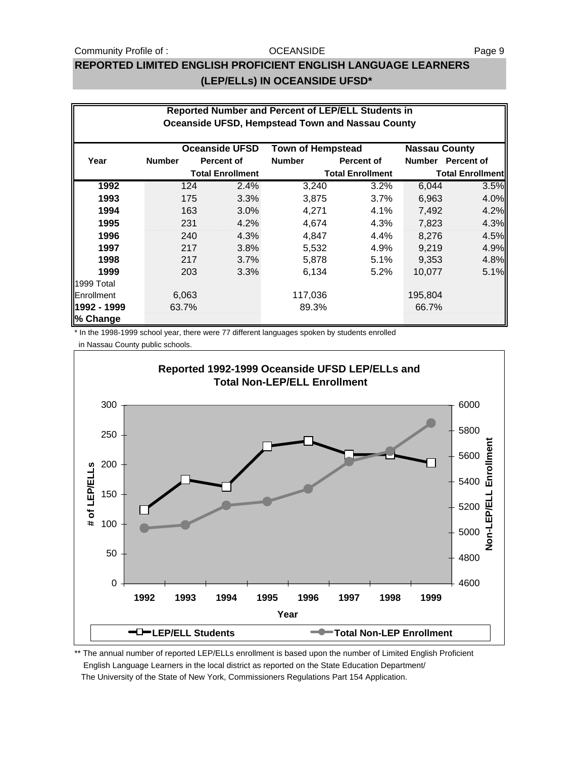#### Community Profile of : CODE CONSIDE Community Profile of : Page 9

#### **OCEANSIDE**

## **REPORTED LIMITED ENGLISH PROFICIENT ENGLISH LANGUAGE LEARNERS (LEP/ELLs) IN OCEANSIDE UFSD\***

|             | Reported Number and Percent of LEP/ELL Students in<br><b>Oceanside UFSD, Hempstead Town and Nassau County</b> |                         |                       |                          |                   |                         |                   |  |  |  |
|-------------|---------------------------------------------------------------------------------------------------------------|-------------------------|-----------------------|--------------------------|-------------------|-------------------------|-------------------|--|--|--|
|             |                                                                                                               |                         |                       |                          |                   |                         |                   |  |  |  |
|             |                                                                                                               |                         | <b>Oceanside UFSD</b> | <b>Town of Hempstead</b> |                   | <b>Nassau County</b>    |                   |  |  |  |
| Year        | <b>Number</b>                                                                                                 |                         | Percent of            | <b>Number</b>            | <b>Percent of</b> |                         | Number Percent of |  |  |  |
|             |                                                                                                               | <b>Total Enrollment</b> |                       | <b>Total Enrollment</b>  |                   | <b>Total Enrollment</b> |                   |  |  |  |
| 1992        |                                                                                                               | 124                     | 2.4%                  | 3,240                    | 3.2%              | 6,044                   | 3.5%              |  |  |  |
| 1993        |                                                                                                               | 175                     | 3.3%                  | 3,875                    | $3.7\%$           | 6,963                   | 4.0%              |  |  |  |
| 1994        |                                                                                                               | 163                     | 3.0%                  | 4,271                    | 4.1%              | 7,492                   | 4.2%              |  |  |  |
| 1995        |                                                                                                               | 231                     | 4.2%                  | 4,674                    | 4.3%              | 7,823                   | 4.3%              |  |  |  |
| 1996        |                                                                                                               | 240                     | 4.3%                  | 4,847                    | 4.4%              | 8,276                   | 4.5%              |  |  |  |
| 1997        |                                                                                                               | 217                     | 3.8%                  | 5,532                    | 4.9%              | 9,219                   | 4.9%              |  |  |  |
| 1998        |                                                                                                               | 217                     | 3.7%                  | 5,878                    | 5.1%              | 9,353                   | 4.8%              |  |  |  |
| 1999        |                                                                                                               | 203                     | 3.3%                  | 6,134                    | 5.2%              | 10,077                  | 5.1%              |  |  |  |
| 1999 Total  |                                                                                                               |                         |                       |                          |                   |                         |                   |  |  |  |
| Enrollment  |                                                                                                               | 6,063                   |                       | 117,036                  |                   | 195,804                 |                   |  |  |  |
| 1992 - 1999 | 63.7%                                                                                                         |                         |                       | 89.3%                    |                   | 66.7%                   |                   |  |  |  |
| % Change    |                                                                                                               |                         |                       |                          |                   |                         |                   |  |  |  |

\* In the 1998-1999 school year, there were 77 different languages spoken by students enrolled

in Nassau County public schools.



\*\* The annual number of reported LEP/ELLs enrollment is based upon the number of Limited English Proficient English Language Learners in the local district as reported on the State Education Department/ The University of the State of New York, Commissioners Regulations Part 154 Application.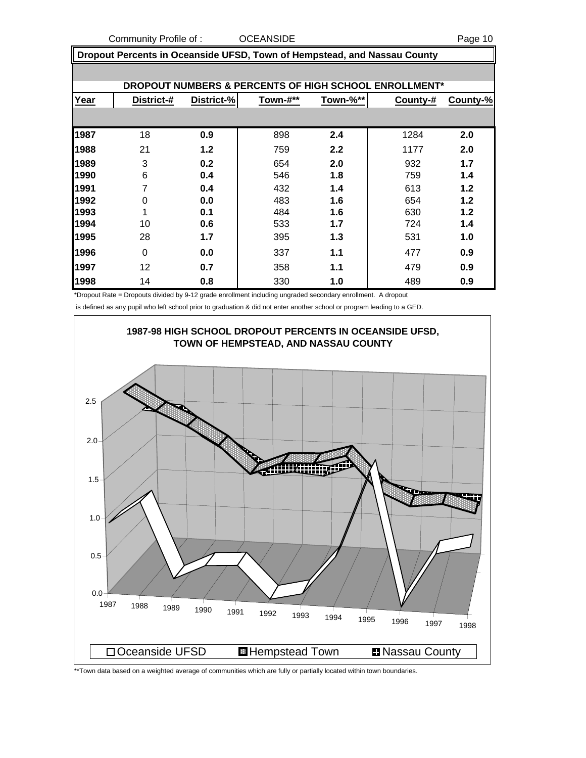Community Profile of : COCEANSIDE **COMMUNITY** Page 10

 **Dropout Percents in Oceanside UFSD, Town of Hempstead, and Nassau County**

|      | DROPOUT NUMBERS & PERCENTS OF HIGH SCHOOL ENROLLMENT* |            |          |          |          |          |  |  |  |  |
|------|-------------------------------------------------------|------------|----------|----------|----------|----------|--|--|--|--|
| Year | District-#                                            | District-% | Town-#** | Town-%** | County-# | County-% |  |  |  |  |
|      |                                                       |            |          |          |          |          |  |  |  |  |
| 1987 | 18                                                    | 0.9        | 898      | 2.4      | 1284     | 2.0      |  |  |  |  |
| 1988 | 21                                                    | 1.2        | 759      | 2.2      | 1177     | 2.0      |  |  |  |  |
| 1989 | 3                                                     | 0.2        | 654      | 2.0      | 932      | 1.7      |  |  |  |  |
| 1990 | 6                                                     | 0.4        | 546      | 1.8      | 759      | 1.4      |  |  |  |  |
| 1991 | 7                                                     | 0.4        | 432      | 1.4      | 613      | 1.2      |  |  |  |  |
| 1992 | $\Omega$                                              | 0.0        | 483      | 1.6      | 654      | 1.2      |  |  |  |  |
| 1993 | 4                                                     | 0.1        | 484      | 1.6      | 630      | 1.2      |  |  |  |  |
| 1994 | 10                                                    | 0.6        | 533      | 1.7      | 724      | 1.4      |  |  |  |  |
| 1995 | 28                                                    | 1.7        | 395      | 1.3      | 531      | 1.0      |  |  |  |  |
| 1996 | $\Omega$                                              | 0.0        | 337      | 1.1      | 477      | 0.9      |  |  |  |  |
| 1997 | 12                                                    | 0.7        | 358      | 1.1      | 479      | 0.9      |  |  |  |  |
| 1998 | 14                                                    | 0.8        | 330      | 1.0      | 489      | 0.9      |  |  |  |  |

\*Dropout Rate = Dropouts divided by 9-12 grade enrollment including ungraded secondary enrollment. A dropout

is defined as any pupil who left school prior to graduation & did not enter another school or program leading to a GED.



\*\*Town data based on a weighted average of communities which are fully or partially located within town boundaries.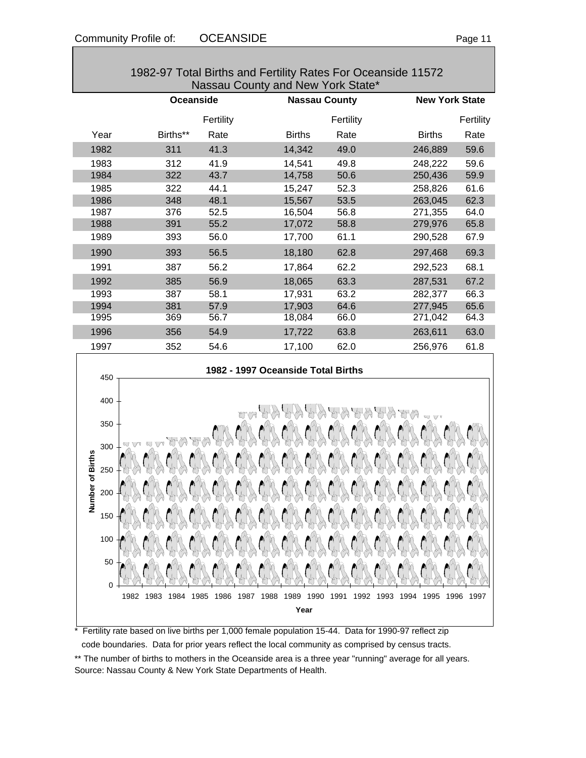|                                                                          | 1982-97 Total Births and Fertility Rates For Oceanside 11572<br>Nassau County and New York State* |                      |                                    |              |                       |              |  |  |  |
|--------------------------------------------------------------------------|---------------------------------------------------------------------------------------------------|----------------------|------------------------------------|--------------|-----------------------|--------------|--|--|--|
|                                                                          | Oceanside                                                                                         |                      | <b>Nassau County</b>               |              | <b>New York State</b> |              |  |  |  |
|                                                                          |                                                                                                   | Fertility            |                                    | Fertility    |                       | Fertility    |  |  |  |
| Year                                                                     | Births**                                                                                          | Rate                 | <b>Births</b>                      | Rate         | <b>Births</b>         | Rate         |  |  |  |
| 1982                                                                     | 311                                                                                               | 41.3                 | 14,342                             | 49.0         | 246,889               | 59.6         |  |  |  |
| 1983                                                                     | 312                                                                                               | 41.9                 | 14,541                             | 49.8         | 248,222               | 59.6         |  |  |  |
| 1984                                                                     | 322                                                                                               | 43.7                 | 14,758                             | 50.6         | 250,436               | 59.9         |  |  |  |
| 1985                                                                     | 322                                                                                               | 44.1                 | 15,247                             | 52.3         | 258,826               | 61.6         |  |  |  |
| 1986                                                                     | 348                                                                                               | 48.1                 | 15,567                             | 53.5         | 263,045               | 62.3         |  |  |  |
| 1987                                                                     | 376                                                                                               | 52.5                 | 16,504                             | 56.8         | 271,355               | 64.0         |  |  |  |
| 1988                                                                     | 391                                                                                               | 55.2                 | 17,072                             | 58.8         | 279,976               | 65.8         |  |  |  |
| 1989                                                                     | 393                                                                                               | 56.0                 | 17,700                             | 61.1         | 290,528               | 67.9         |  |  |  |
| 1990                                                                     | 393                                                                                               | 56.5                 | 18,180                             | 62.8         | 297,468               | 69.3         |  |  |  |
| 1991                                                                     | 387                                                                                               | 56.2                 | 17,864                             | 62.2         | 292,523               | 68.1         |  |  |  |
| 1992                                                                     | 385                                                                                               | 56.9                 | 18,065                             | 63.3         | 287,531               | 67.2         |  |  |  |
| 1993                                                                     | 387                                                                                               | 58.1                 | 17,931                             | 63.2         | 282,377               | 66.3         |  |  |  |
| 1994                                                                     | 381                                                                                               | 57.9                 | 17,903                             | 64.6         | 277,945               | 65.6         |  |  |  |
| 1995                                                                     | 369                                                                                               | 56.7                 | 18,084                             | 66.0         | 271,042               | 64.3         |  |  |  |
| 1996                                                                     | 356                                                                                               | 54.9                 | 17,722                             | 63.8         | 263,611               | 63.0         |  |  |  |
| 1997                                                                     | 352                                                                                               | 54.6                 | 17,100                             | 62.0         | 256,976               | 61.8         |  |  |  |
| 450<br>400<br>350<br>300<br>ber of Births<br>250<br>200<br>$\frac{5}{2}$ |                                                                                                   |                      | 1982 - 1997 Oceanside Total Births |              |                       |              |  |  |  |
| 150<br>100<br>50<br>0                                                    | 1982<br>1983<br>1984                                                                              | 1985<br>1986<br>1987 | 1988<br>1989<br>1990<br>Year       | 1991<br>1992 | 1995<br>1993<br>1994  | 1996<br>1997 |  |  |  |

\* Fertility rate based on live births per 1,000 female population 15-44. Data for 1990-97 reflect zip code boundaries. Data for prior years reflect the local community as comprised by census tracts. \*\* The number of births to mothers in the Oceanside area is a three year "running" average for all years. Source: Nassau County & New York State Departments of Health.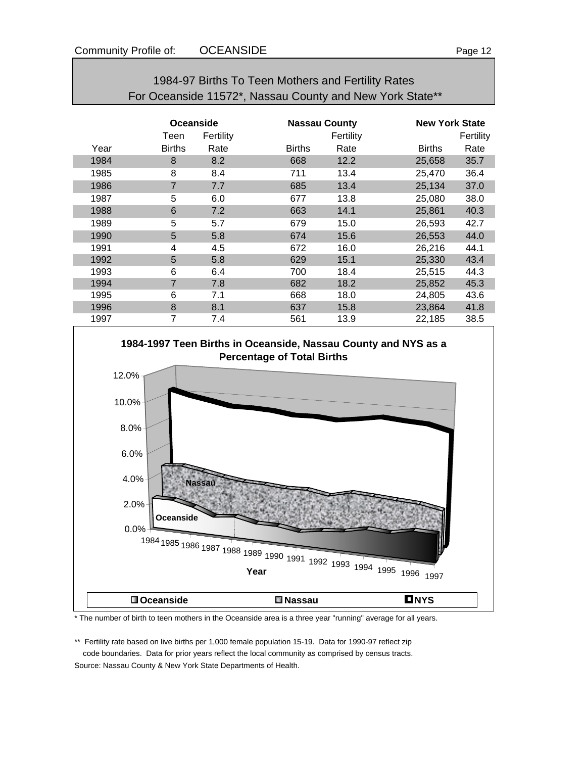| For Oceanside 11572*, Nassau County and New York State** |                  |           |               |                      |               |                       |  |
|----------------------------------------------------------|------------------|-----------|---------------|----------------------|---------------|-----------------------|--|
|                                                          | <b>Oceanside</b> |           |               | <b>Nassau County</b> |               | <b>New York State</b> |  |
|                                                          | Teen             | Fertility |               | Fertility            |               | Fertility             |  |
| Year                                                     | <b>Births</b>    | Rate      | <b>Births</b> | Rate                 | <b>Births</b> | Rate                  |  |
| 1984                                                     | 8                | 8.2       | 668           | 12.2                 | 25,658        | 35.7                  |  |
| 1985                                                     | 8                | 8.4       | 711           | 13.4                 | 25,470        | 36.4                  |  |
| 1986                                                     | $\overline{7}$   | 7.7       | 685           | 13.4                 | 25,134        | 37.0                  |  |
| 1987                                                     | 5                | 6.0       | 677           | 13.8                 | 25,080        | 38.0                  |  |
| 1988                                                     | 6                | 7.2       | 663           | 14.1                 | 25,861        | 40.3                  |  |
| 1989                                                     | 5                | 5.7       | 679           | 15.0                 | 26,593        | 42.7                  |  |
| 1990                                                     | 5                | 5.8       | 674           | 15.6                 | 26,553        | 44.0                  |  |
| 1991                                                     | 4                | 4.5       | 672           | 16.0                 | 26,216        | 44.1                  |  |
| 1992                                                     | 5                | 5.8       | 629           | 15.1                 | 25,330        | 43.4                  |  |
| 1993                                                     | 6                | 6.4       | 700           | 18.4                 | 25,515        | 44.3                  |  |
| 1994                                                     | $\overline{7}$   | 7.8       | 682           | 18.2                 | 25,852        | 45.3                  |  |
| 1995                                                     | 6                | 7.1       | 668           | 18.0                 | 24,805        | 43.6                  |  |
| 1996                                                     | 8                | 8.1       | 637           | 15.8                 | 23,864        | 41.8                  |  |
| 1997                                                     | 7                | 7.4       | 561           | 13.9                 | 22,185        | 38.5                  |  |

# 1984-97 Births To Teen Mothers and Fertility Rates



\* The number of birth to teen mothers in the Oceanside area is a three year "running" average for all years.

\*\* Fertility rate based on live births per 1,000 female population 15-19. Data for 1990-97 reflect zip code boundaries. Data for prior years reflect the local community as comprised by census tracts. Source: Nassau County & New York State Departments of Health.